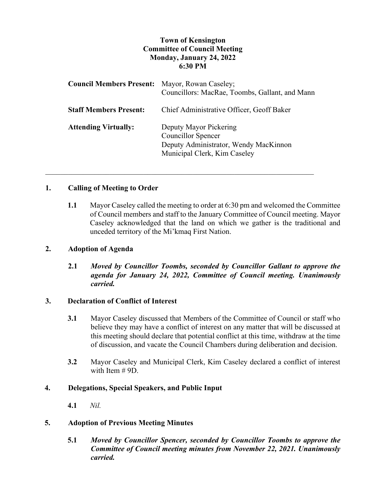# **Town of Kensington Committee of Council Meeting Monday, January 24, 2022 6:30 PM**

| <b>Council Members Present:</b> Mayor, Rowan Caseley; | Councillors: MacRae, Toombs, Gallant, and Mann                                                                               |
|-------------------------------------------------------|------------------------------------------------------------------------------------------------------------------------------|
| <b>Staff Members Present:</b>                         | Chief Administrative Officer, Geoff Baker                                                                                    |
| <b>Attending Virtually:</b>                           | Deputy Mayor Pickering<br><b>Councillor Spencer</b><br>Deputy Administrator, Wendy MacKinnon<br>Municipal Clerk, Kim Caseley |

\_\_\_\_\_\_\_\_\_\_\_\_\_\_\_\_\_\_\_\_\_\_\_\_\_\_\_\_\_\_\_\_\_\_\_\_\_\_\_\_\_\_\_\_\_\_\_\_\_\_\_\_\_\_\_\_\_\_\_\_\_\_\_\_\_\_\_\_\_\_\_

#### **1. Calling of Meeting to Order**

**1.1** Mayor Caseley called the meeting to order at 6:30 pm and welcomed the Committee of Council members and staff to the January Committee of Council meeting. Mayor Caseley acknowledged that the land on which we gather is the traditional and unceded territory of the Mi'kmaq First Nation.

#### **2. Adoption of Agenda**

**2.1** *Moved by Councillor Toombs, seconded by Councillor Gallant to approve the agenda for January 24, 2022, Committee of Council meeting. Unanimously carried.*

#### **3. Declaration of Conflict of Interest**

- **3.1** Mayor Caseley discussed that Members of the Committee of Council or staff who believe they may have a conflict of interest on any matter that will be discussed at this meeting should declare that potential conflict at this time, withdraw at the time of discussion, and vacate the Council Chambers during deliberation and decision.
- **3.2** Mayor Caseley and Municipal Clerk, Kim Caseley declared a conflict of interest with Item # 9D.

#### **4. Delegations, Special Speakers, and Public Input**

**4.1** *Nil.*

## **5. Adoption of Previous Meeting Minutes**

**5.1** *Moved by Councillor Spencer, seconded by Councillor Toombs to approve the Committee of Council meeting minutes from November 22, 2021. Unanimously carried.*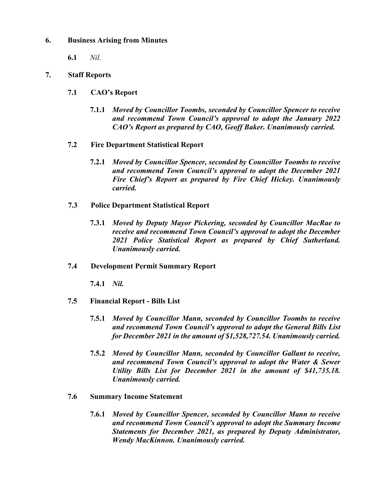## **6. Business Arising from Minutes**

**6.1** *Nil.*

## **7. Staff Reports**

- **7.1 CAO's Report**
	- **7.1.1** *Moved by Councillor Toombs, seconded by Councillor Spencer to receive and recommend Town Council's approval to adopt the January 2022 CAO's Report as prepared by CAO, Geoff Baker. Unanimously carried.*
- **7.2 Fire Department Statistical Report**
	- **7.2.1** *Moved by Councillor Spencer, seconded by Councillor Toombs to receive and recommend Town Council's approval to adopt the December 2021 Fire Chief's Report as prepared by Fire Chief Hickey. Unanimously carried.*
- **7.3 Police Department Statistical Report**
	- **7.3.1** *Moved by Deputy Mayor Pickering, seconded by Councillor MacRae to receive and recommend Town Council's approval to adopt the December 2021 Police Statistical Report as prepared by Chief Sutherland. Unanimously carried.*
- **7.4 Development Permit Summary Report**

**7.4.1** *Nil.*

- **7.5 Financial Report - Bills List**
	- **7.5.1** *Moved by Councillor Mann, seconded by Councillor Toombs to receive and recommend Town Council's approval to adopt the General Bills List for December 2021 in the amount of \$1,528,727.54. Unanimously carried.*
	- **7.5.2** *Moved by Councillor Mann, seconded by Councillor Gallant to receive, and recommend Town Council's approval to adopt the Water & Sewer Utility Bills List for December 2021 in the amount of \$41,735.18. Unanimously carried.*
- **7.6 Summary Income Statement**
	- **7.6.1** *Moved by Councillor Spencer, seconded by Councillor Mann to receive and recommend Town Council's approval to adopt the Summary Income Statements for December 2021, as prepared by Deputy Administrator, Wendy MacKinnon. Unanimously carried.*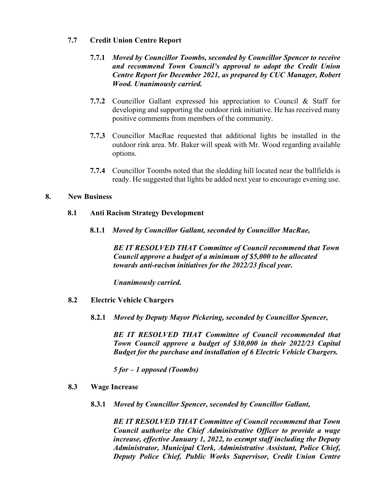## **7.7 Credit Union Centre Report**

- **7.7.1** *Moved by Councillor Toombs, seconded by Councillor Spencer to receive and recommend Town Council's approval to adopt the Credit Union Centre Report for December 2021, as prepared by CUC Manager, Robert Wood. Unanimously carried.*
- **7.7.2** Councillor Gallant expressed his appreciation to Council & Staff for developing and supporting the outdoor rink initiative. He has received many positive comments from members of the community.
- **7.7.3** Councillor MacRae requested that additional lights be installed in the outdoor rink area. Mr. Baker will speak with Mr. Wood regarding available options.
- **7.7.4** Councillor Toombs noted that the sledding hill located near the ballfields is ready. He suggested that lights be added next year to encourage evening use.

## **8. New Business**

## **8.1 Anti Racism Strategy Development**

**8.1.1** *Moved by Councillor Gallant, seconded by Councillor MacRae,*

*BE IT RESOLVED THAT Committee of Council recommend that Town Council approve a budget of a minimum of \$5,000 to be allocated towards anti-racism initiatives for the 2022/23 fiscal year.*

*Unanimously carried.* 

- **8.2 Electric Vehicle Chargers**
	- **8.2.1** *Moved by Deputy Mayor Pickering, seconded by Councillor Spencer,*

*BE IT RESOLVED THAT Committee of Council recommended that Town Council approve a budget of \$30,000 in their 2022/23 Capital Budget for the purchase and installation of 6 Electric Vehicle Chargers.* 

*5 for – 1 opposed (Toombs)*

- **8.3 Wage Increase**
	- **8.3.1** *Moved by Councillor Spencer, seconded by Councillor Gallant,*

*BE IT RESOLVED THAT Committee of Council recommend that Town Council authorize the Chief Administrative Officer to provide a wage increase, effective January 1, 2022, to exempt staff including the Deputy Administrator, Municipal Clerk, Administrative Assistant, Police Chief, Deputy Police Chief, Public Works Supervisor, Credit Union Centre*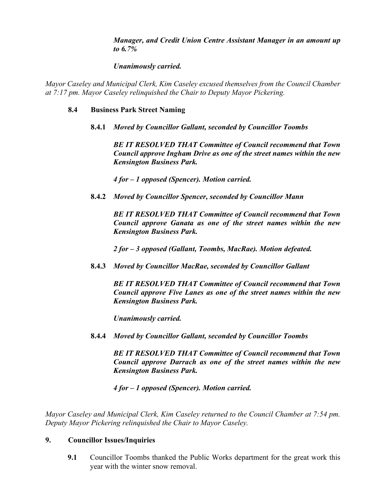*Manager, and Credit Union Centre Assistant Manager in an amount up to 6.7%*

# *Unanimously carried.*

*Mayor Caseley and Municipal Clerk, Kim Caseley excused themselves from the Council Chamber at 7:17 pm. Mayor Caseley relinquished the Chair to Deputy Mayor Pickering.* 

## **8.4 Business Park Street Naming**

**8.4.1** *Moved by Councillor Gallant, seconded by Councillor Toombs* 

*BE IT RESOLVED THAT Committee of Council recommend that Town Council approve Ingham Drive as one of the street names within the new Kensington Business Park.* 

*4 for – 1 opposed (Spencer). Motion carried.* 

**8.4.2** *Moved by Councillor Spencer, seconded by Councillor Mann*

*BE IT RESOLVED THAT Committee of Council recommend that Town Council approve Ganata as one of the street names within the new Kensington Business Park.* 

*2 for – 3 opposed (Gallant, Toombs, MacRae). Motion defeated.* 

**8.4.3** *Moved by Councillor MacRae, seconded by Councillor Gallant*

*BE IT RESOLVED THAT Committee of Council recommend that Town Council approve Five Lanes as one of the street names within the new Kensington Business Park.* 

*Unanimously carried.* 

**8.4.4** *Moved by Councillor Gallant, seconded by Councillor Toombs*

*BE IT RESOLVED THAT Committee of Council recommend that Town Council approve Darrach as one of the street names within the new Kensington Business Park.*

*4 for – 1 opposed (Spencer). Motion carried.* 

*Mayor Caseley and Municipal Clerk, Kim Caseley returned to the Council Chamber at 7:54 pm. Deputy Mayor Pickering relinquished the Chair to Mayor Caseley.* 

# **9. Councillor Issues/Inquiries**

**9.1** Councillor Toombs thanked the Public Works department for the great work this year with the winter snow removal.